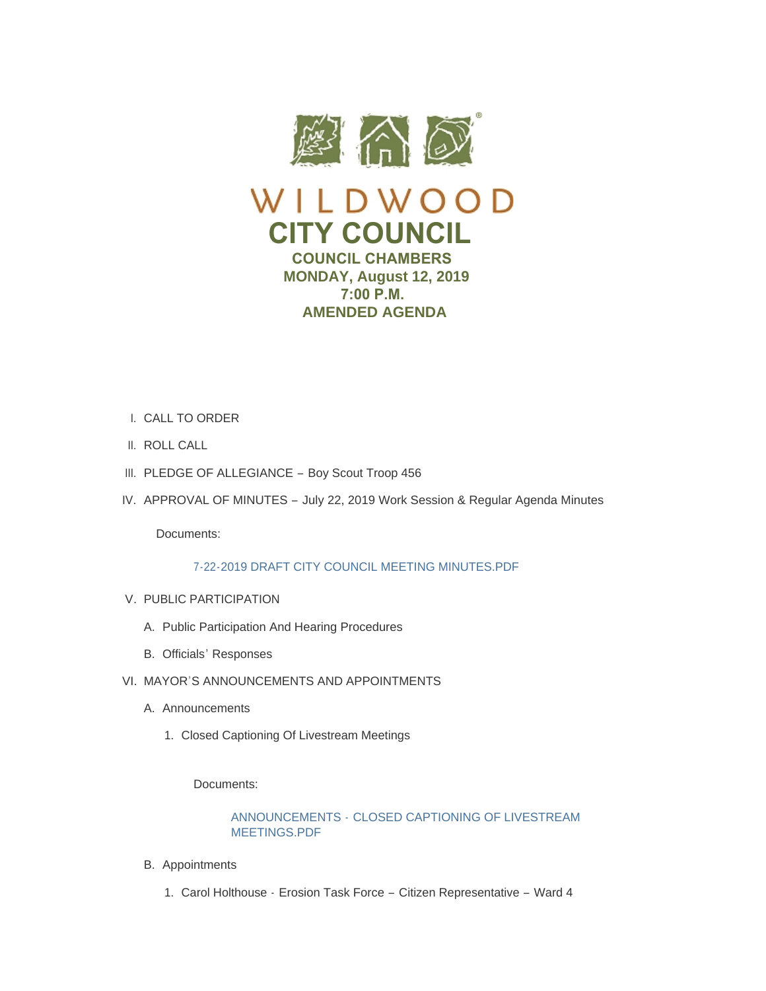

- CALL TO ORDER I.
- II. ROLL CALL
- III. PLEDGE OF ALLEGIANCE Boy Scout Troop 456
- IV. APPROVAL OF MINUTES July 22, 2019 Work Session & Regular Agenda Minutes

Documents:

# [7-22-2019 DRAFT CITY COUNCIL MEETING MINUTES.PDF](https://www.cityofwildwood.com/AgendaCenter/ViewFile/Item/21517?fileID=27008)

- V. PUBLIC PARTICIPATION
	- A. Public Participation And Hearing Procedures
	- B. Officials' Responses
- VI. MAYOR'S ANNOUNCEMENTS AND APPOINTMENTS
	- A. Announcements
		- 1. Closed Captioning Of Livestream Meetings

Documents:

# ANNOUNCEMENTS - [CLOSED CAPTIONING OF LIVESTREAM](https://www.cityofwildwood.com/AgendaCenter/ViewFile/Item/21523?fileID=27177)  MEETINGS.PDF

- B. Appointments
	- 1. Carol Holthouse Erosion Task Force Citizen Representative Ward 4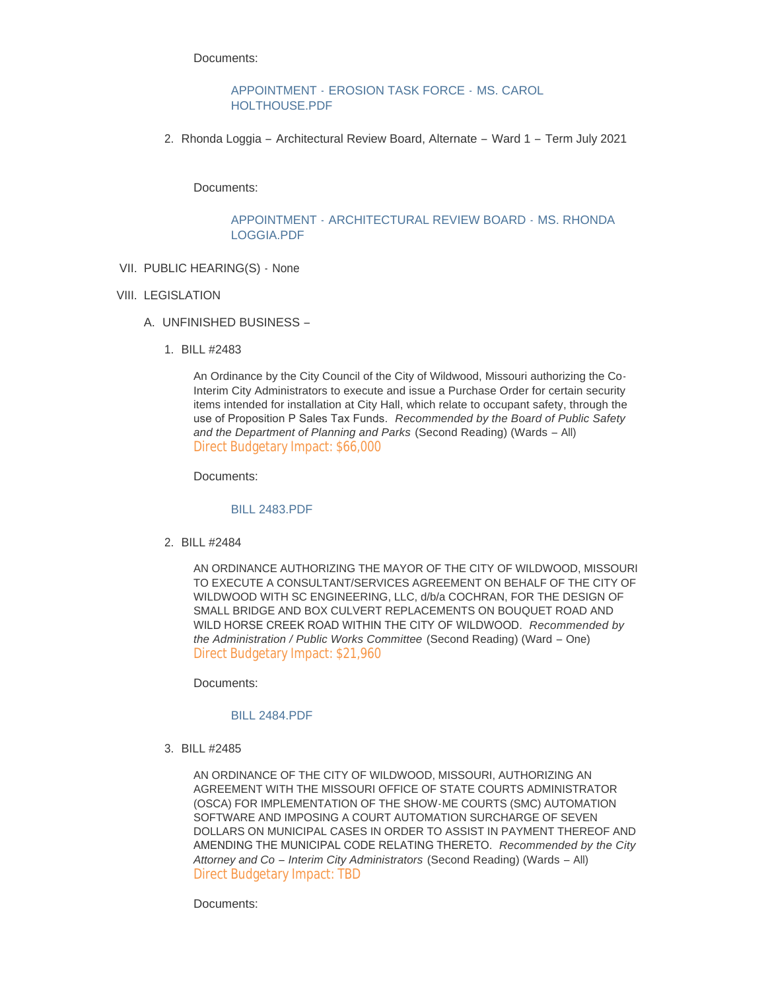Documents:

APPOINTMENT - [EROSION TASK FORCE -](https://www.cityofwildwood.com/AgendaCenter/ViewFile/Item/21525?fileID=27179) MS. CAROL HOLTHOUSE.PDF

2. Rhonda Loggia – Architectural Review Board, Alternate – Ward 1 – Term July 2021

Documents:

### APPOINTMENT - [ARCHITECTURAL REVIEW BOARD -](https://www.cityofwildwood.com/AgendaCenter/ViewFile/Item/21526?fileID=27178) MS. RHONDA LOGGIA.PDF

VII. PUBLIC HEARING(S) - None

## VIII. LEGISLATION

- UNFINISHED BUSINESS A.
	- BILL #2483 1.

An Ordinance by the City Council of the City of Wildwood, Missouri authorizing the Co-Interim City Administrators to execute and issue a Purchase Order for certain security items intended for installation at City Hall, which relate to occupant safety, through the use of Proposition P Sales Tax Funds. *Recommended by the Board of Public Safety and the Department of Planning and Parks* (Second Reading) (Wards – All) Direct Budgetary Impact: \$66,000

Documents:

### [BILL 2483.PDF](https://www.cityofwildwood.com/AgendaCenter/ViewFile/Item/21530?fileID=27009)

BILL #2484 2.

AN ORDINANCE AUTHORIZING THE MAYOR OF THE CITY OF WILDWOOD, MISSOURI TO EXECUTE A CONSULTANT/SERVICES AGREEMENT ON BEHALF OF THE CITY OF WILDWOOD WITH SC ENGINEERING, LLC, d/b/a COCHRAN, FOR THE DESIGN OF SMALL BRIDGE AND BOX CULVERT REPLACEMENTS ON BOUQUET ROAD AND WILD HORSE CREEK ROAD WITHIN THE CITY OF WILDWOOD. *Recommended by the Administration / Public Works Committee* (Second Reading) (Ward – One) Direct Budgetary Impact: \$21,960

Documents:

### [BILL 2484.PDF](https://www.cityofwildwood.com/AgendaCenter/ViewFile/Item/21531?fileID=27010)

BILL #2485 3.

AN ORDINANCE OF THE CITY OF WILDWOOD, MISSOURI, AUTHORIZING AN AGREEMENT WITH THE MISSOURI OFFICE OF STATE COURTS ADMINISTRATOR (OSCA) FOR IMPLEMENTATION OF THE SHOW-ME COURTS (SMC) AUTOMATION SOFTWARE AND IMPOSING A COURT AUTOMATION SURCHARGE OF SEVEN DOLLARS ON MUNICIPAL CASES IN ORDER TO ASSIST IN PAYMENT THEREOF AND AMENDING THE MUNICIPAL CODE RELATING THERETO. *Recommended by the City Attorney and Co – Interim City Administrators* (Second Reading) (Wards – All) Direct Budgetary Impact: TBD

Documents: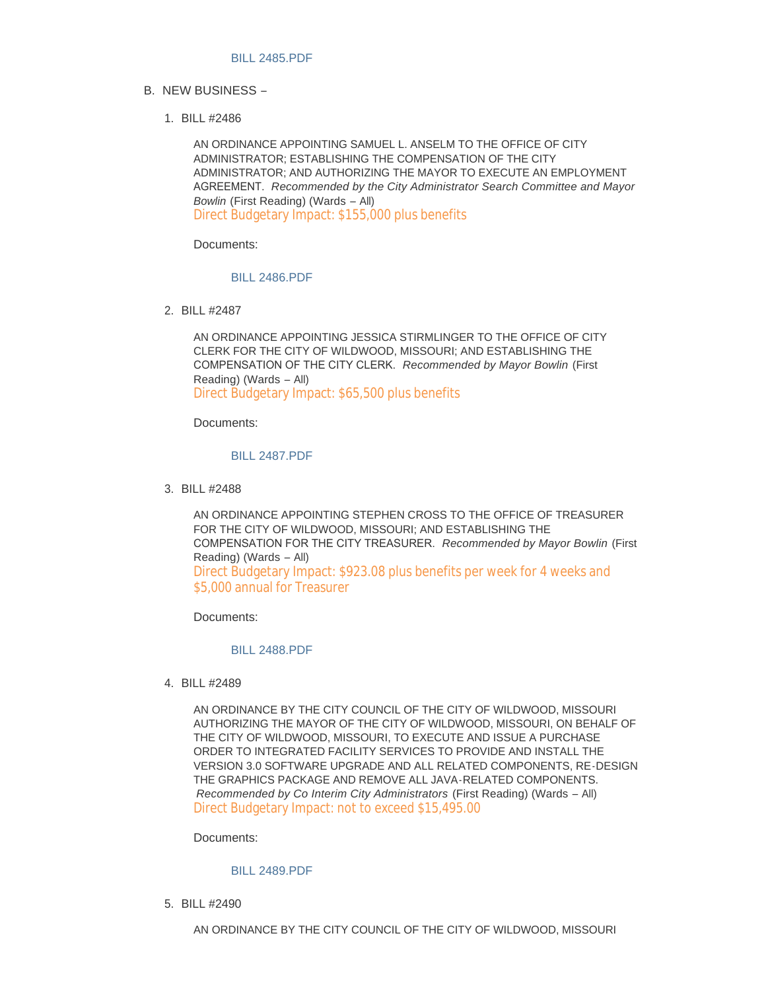- B. NEW BUSINESS
	- BILL #2486 1.

AN ORDINANCE APPOINTING SAMUEL L. ANSELM TO THE OFFICE OF CITY ADMINISTRATOR; ESTABLISHING THE COMPENSATION OF THE CITY ADMINISTRATOR; AND AUTHORIZING THE MAYOR TO EXECUTE AN EMPLOYMENT AGREEMENT. *Recommended by the City Administrator Search Committee and Mayor Bowlin* (First Reading) (Wards – All) Direct Budgetary Impact: \$155,000 plus benefits

Documents:

### [BILL 2486.PDF](https://www.cityofwildwood.com/AgendaCenter/ViewFile/Item/21534?fileID=27180)

BILL #2487 2.

AN ORDINANCE APPOINTING JESSICA STIRMLINGER TO THE OFFICE OF CITY CLERK FOR THE CITY OF WILDWOOD, MISSOURI; AND ESTABLISHING THE COMPENSATION OF THE CITY CLERK. *Recommended by Mayor Bowlin* (First Reading) (Wards – All) Direct Budgetary Impact: \$65,500 plus benefits

Documents:

### [BILL 2487.PDF](https://www.cityofwildwood.com/AgendaCenter/ViewFile/Item/21535?fileID=27013)

BILL #2488 3.

AN ORDINANCE APPOINTING STEPHEN CROSS TO THE OFFICE OF TREASURER FOR THE CITY OF WILDWOOD, MISSOURI; AND ESTABLISHING THE COMPENSATION FOR THE CITY TREASURER. *Recommended by Mayor Bowlin* (First Reading) (Wards – All) Direct Budgetary Impact: \$923.08 plus benefits per week for 4 weeks and \$5,000 annual for Treasurer

Documents:

## [BILL 2488.PDF](https://www.cityofwildwood.com/AgendaCenter/ViewFile/Item/21536?fileID=27014)

BILL #2489 4.

AN ORDINANCE BY THE CITY COUNCIL OF THE CITY OF WILDWOOD, MISSOURI AUTHORIZING THE MAYOR OF THE CITY OF WILDWOOD, MISSOURI, ON BEHALF OF THE CITY OF WILDWOOD, MISSOURI, TO EXECUTE AND ISSUE A PURCHASE ORDER TO INTEGRATED FACILITY SERVICES TO PROVIDE AND INSTALL THE VERSION 3.0 SOFTWARE UPGRADE AND ALL RELATED COMPONENTS, RE-DESIGN THE GRAPHICS PACKAGE AND REMOVE ALL JAVA-RELATED COMPONENTS. *Recommended by Co Interim City Administrators* (First Reading) (Wards – All) Direct Budgetary Impact: not to exceed \$15,495.00

Documents:

### [BILL 2489.PDF](https://www.cityofwildwood.com/AgendaCenter/ViewFile/Item/21537?fileID=27015)

BILL #2490 5.

AN ORDINANCE BY THE CITY COUNCIL OF THE CITY OF WILDWOOD, MISSOURI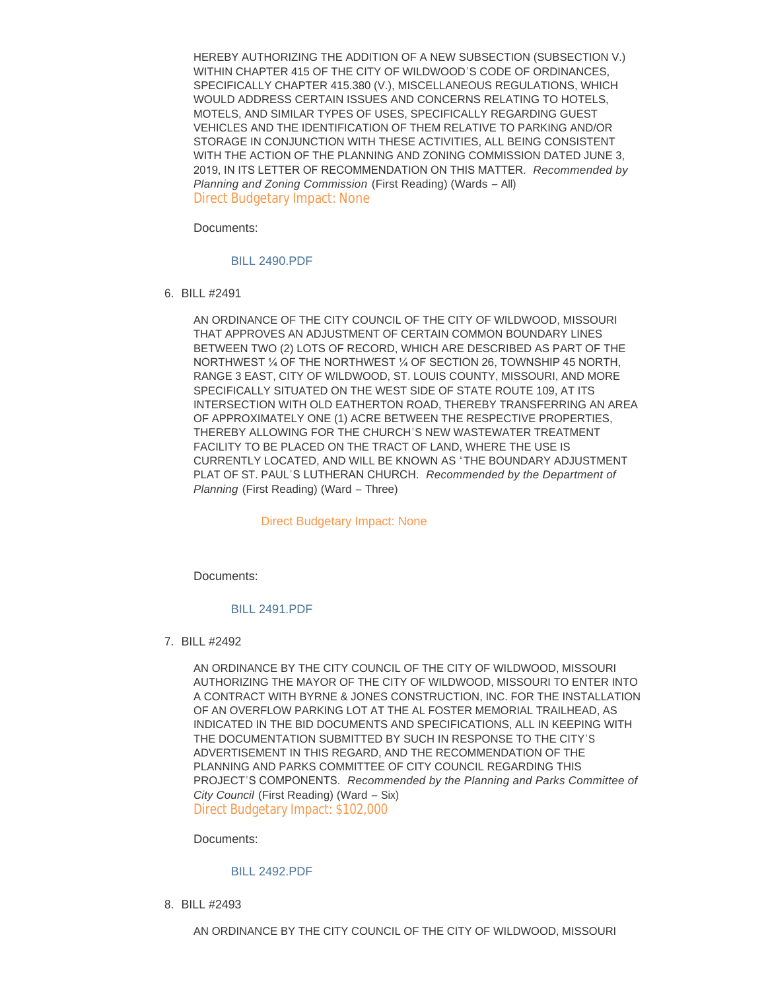HEREBY AUTHORIZING THE ADDITION OF A NEW SUBSECTION (SUBSECTION V.) WITHIN CHAPTER 415 OF THE CITY OF WILDWOOD'S CODE OF ORDINANCES, SPECIFICALLY CHAPTER 415.380 (V.), MISCELLANEOUS REGULATIONS, WHICH WOULD ADDRESS CERTAIN ISSUES AND CONCERNS RELATING TO HOTELS, MOTELS, AND SIMILAR TYPES OF USES, SPECIFICALLY REGARDING GUEST VEHICLES AND THE IDENTIFICATION OF THEM RELATIVE TO PARKING AND/OR STORAGE IN CONJUNCTION WITH THESE ACTIVITIES, ALL BEING CONSISTENT WITH THE ACTION OF THE PLANNING AND ZONING COMMISSION DATED JUNE 3, 2019, IN ITS LETTER OF RECOMMENDATION ON THIS MATTER. *Recommended by Planning and Zoning Commission* (First Reading) (Wards – All) Direct Budgetary Impact: None

Documents:

### [BILL 2490.PDF](https://www.cityofwildwood.com/AgendaCenter/ViewFile/Item/21538?fileID=27016)

BILL #2491 6.

AN ORDINANCE OF THE CITY COUNCIL OF THE CITY OF WILDWOOD, MISSOURI THAT APPROVES AN ADJUSTMENT OF CERTAIN COMMON BOUNDARY LINES BETWEEN TWO (2) LOTS OF RECORD, WHICH ARE DESCRIBED AS PART OF THE NORTHWEST ¼ OF THE NORTHWEST ¼ OF SECTION 26, TOWNSHIP 45 NORTH, RANGE 3 EAST, CITY OF WILDWOOD, ST. LOUIS COUNTY, MISSOURI, AND MORE SPECIFICALLY SITUATED ON THE WEST SIDE OF STATE ROUTE 109, AT ITS INTERSECTION WITH OLD EATHERTON ROAD, THEREBY TRANSFERRING AN AREA OF APPROXIMATELY ONE (1) ACRE BETWEEN THE RESPECTIVE PROPERTIES, THEREBY ALLOWING FOR THE CHURCH'S NEW WASTEWATER TREATMENT FACILITY TO BE PLACED ON THE TRACT OF LAND, WHERE THE USE IS CURRENTLY LOCATED, AND WILL BE KNOWN AS "THE BOUNDARY ADJUSTMENT PLAT OF ST. PAUL'S LUTHERAN CHURCH. *Recommended by the Department of Planning* (First Reading) (Ward – Three)

#### Direct Budgetary Impact: None

Documents:

### [BILL 2491.PDF](https://www.cityofwildwood.com/AgendaCenter/ViewFile/Item/21539?fileID=27017)

BILL #2492 7.

AN ORDINANCE BY THE CITY COUNCIL OF THE CITY OF WILDWOOD, MISSOURI AUTHORIZING THE MAYOR OF THE CITY OF WILDWOOD, MISSOURI TO ENTER INTO A CONTRACT WITH BYRNE & JONES CONSTRUCTION, INC. FOR THE INSTALLATION OF AN OVERFLOW PARKING LOT AT THE AL FOSTER MEMORIAL TRAILHEAD, AS INDICATED IN THE BID DOCUMENTS AND SPECIFICATIONS, ALL IN KEEPING WITH THE DOCUMENTATION SUBMITTED BY SUCH IN RESPONSE TO THE CITY'S ADVERTISEMENT IN THIS REGARD, AND THE RECOMMENDATION OF THE PLANNING AND PARKS COMMITTEE OF CITY COUNCIL REGARDING THIS PROJECT'S COMPONENTS. *Recommended by the Planning and Parks Committee of City Council* (First Reading) (Ward – Six) Direct Budgetary Impact: \$102,000

Documents:

#### [BILL 2492.PDF](https://www.cityofwildwood.com/AgendaCenter/ViewFile/Item/21540?fileID=27018)

BILL #2493 8.

AN ORDINANCE BY THE CITY COUNCIL OF THE CITY OF WILDWOOD, MISSOURI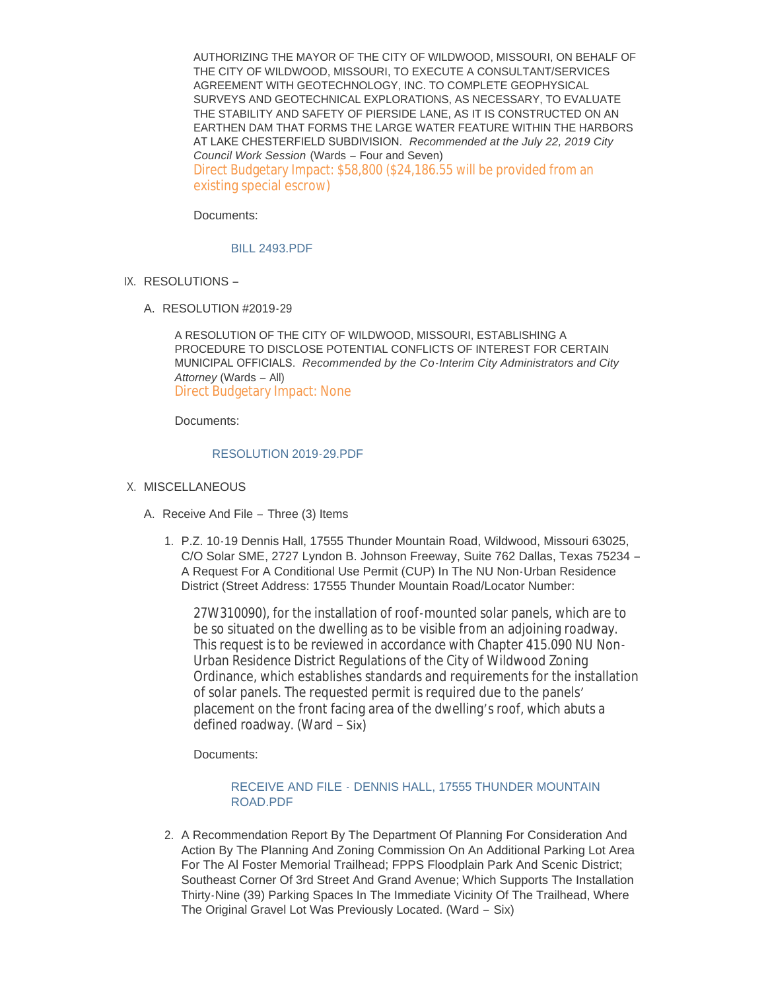AUTHORIZING THE MAYOR OF THE CITY OF WILDWOOD, MISSOURI, ON BEHALF OF THE CITY OF WILDWOOD, MISSOURI, TO EXECUTE A CONSULTANT/SERVICES AGREEMENT WITH GEOTECHNOLOGY, INC. TO COMPLETE GEOPHYSICAL SURVEYS AND GEOTECHNICAL EXPLORATIONS, AS NECESSARY, TO EVALUATE THE STABILITY AND SAFETY OF PIERSIDE LANE, AS IT IS CONSTRUCTED ON AN EARTHEN DAM THAT FORMS THE LARGE WATER FEATURE WITHIN THE HARBORS AT LAKE CHESTERFIELD SUBDIVISION. *Recommended at the July 22, 2019 City Council Work Session* (Wards – Four and Seven) Direct Budgetary Impact: \$58,800 (\$24,186.55 will be provided from an existing special escrow)

Documents:

### [BILL 2493.PDF](https://www.cityofwildwood.com/AgendaCenter/ViewFile/Item/21541?fileID=27019)

- IX. RESOLUTIONS
	- A. RESOLUTION #2019-29

A RESOLUTION OF THE CITY OF WILDWOOD, MISSOURI, ESTABLISHING A PROCEDURE TO DISCLOSE POTENTIAL CONFLICTS OF INTEREST FOR CERTAIN MUNICIPAL OFFICIALS. *Recommended by the Co-Interim City Administrators and City Attorney* (Wards – All) Direct Budgetary Impact: None

Documents:

### [RESOLUTION 2019-29.PDF](https://www.cityofwildwood.com/AgendaCenter/ViewFile/Item/21543?fileID=27020)

- X. MISCELLANEOUS
	- A. Receive And File Three (3) Items
		- P.Z. 10-19 Dennis Hall, 17555 Thunder Mountain Road, Wildwood, Missouri 63025, 1. C/O Solar SME, 2727 Lyndon B. Johnson Freeway, Suite 762 Dallas, Texas 75234 – A Request For A Conditional Use Permit (CUP) In The NU Non-Urban Residence District (Street Address: 17555 Thunder Mountain Road/Locator Number:

27W310090), for the installation of roof-mounted solar panels, which are to be so situated on the dwelling as to be visible from an adjoining roadway. This request is to be reviewed in accordance with Chapter 415.090 NU Non-Urban Residence District Regulations of the City of Wildwood Zoning Ordinance, which establishes standards and requirements for the installation of solar panels. The requested permit is required due to the panels' placement on the front facing area of the dwelling's roof, which abuts a defined roadway. (Ward – Six)

Documents:

## RECEIVE AND FILE - [DENNIS HALL, 17555 THUNDER MOUNTAIN](https://www.cityofwildwood.com/AgendaCenter/ViewFile/Item/21546?fileID=27024)  ROAD.PDF

2. A Recommendation Report By The Department Of Planning For Consideration And Action By The Planning And Zoning Commission On An Additional Parking Lot Area For The Al Foster Memorial Trailhead; FPPS Floodplain Park And Scenic District; Southeast Corner Of 3rd Street And Grand Avenue; Which Supports The Installation Thirty-Nine (39) Parking Spaces In The Immediate Vicinity Of The Trailhead, Where The Original Gravel Lot Was Previously Located. (Ward – Six)